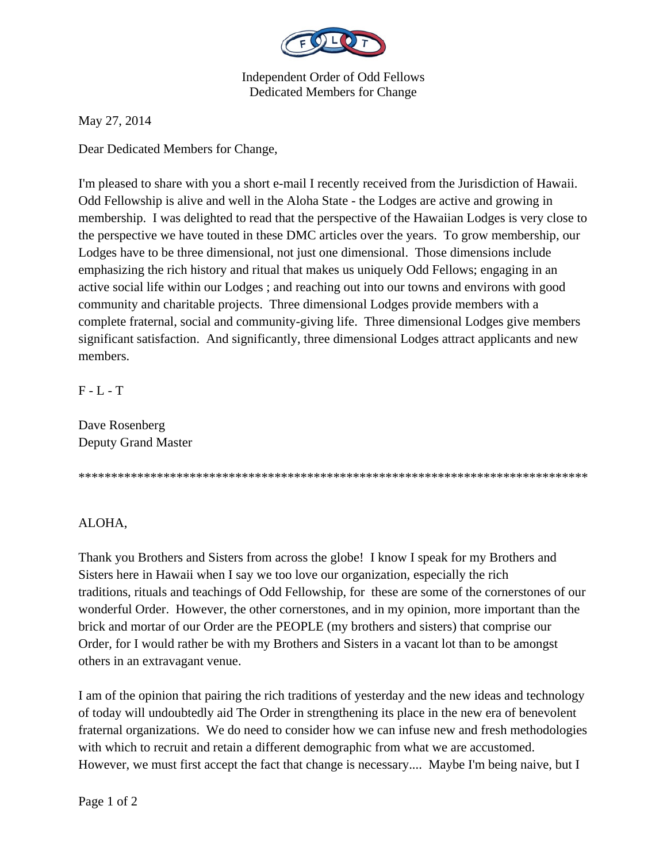

## Independent Order of Odd Fellows Dedicated Members for Change

May 27, 2014

Dear Dedicated Members for Change,

I'm pleased to share with you a short e-mail I recently received from the Jurisdiction of Hawaii. Odd Fellowship is alive and well in the Aloha State - the Lodges are active and growing in membership. I was delighted to read that the perspective of the Hawaiian Lodges is very close to the perspective we have touted in these DMC articles over the years. To grow membership, our Lodges have to be three dimensional, not just one dimensional. Those dimensions include emphasizing the rich history and ritual that makes us uniquely Odd Fellows; engaging in an active social life within our Lodges ; and reaching out into our towns and environs with good community and charitable projects. Three dimensional Lodges provide members with a complete fraternal, social and community-giving life. Three dimensional Lodges give members significant satisfaction. And significantly, three dimensional Lodges attract applicants and new members.

F - L - T

Dave Rosenberg Deputy Grand Master

\*\*\*\*\*\*\*\*\*\*\*\*\*\*\*\*\*\*\*\*\*\*\*\*\*\*\*\*\*\*\*\*\*\*\*\*\*\*\*\*\*\*\*\*\*\*\*\*\*\*\*\*\*\*\*\*\*\*\*\*\*\*\*\*\*\*\*\*\*\*\*\*\*\*\*\*\*\*

## ALOHA,

Thank you Brothers and Sisters from across the globe! I know I speak for my Brothers and Sisters here in Hawaii when I say we too love our organization, especially the rich traditions, rituals and teachings of Odd Fellowship, for these are some of the cornerstones of our wonderful Order. However, the other cornerstones, and in my opinion, more important than the brick and mortar of our Order are the PEOPLE (my brothers and sisters) that comprise our Order, for I would rather be with my Brothers and Sisters in a vacant lot than to be amongst others in an extravagant venue.

I am of the opinion that pairing the rich traditions of yesterday and the new ideas and technology of today will undoubtedly aid The Order in strengthening its place in the new era of benevolent fraternal organizations. We do need to consider how we can infuse new and fresh methodologies with which to recruit and retain a different demographic from what we are accustomed. However, we must first accept the fact that change is necessary.... Maybe I'm being naive, but I